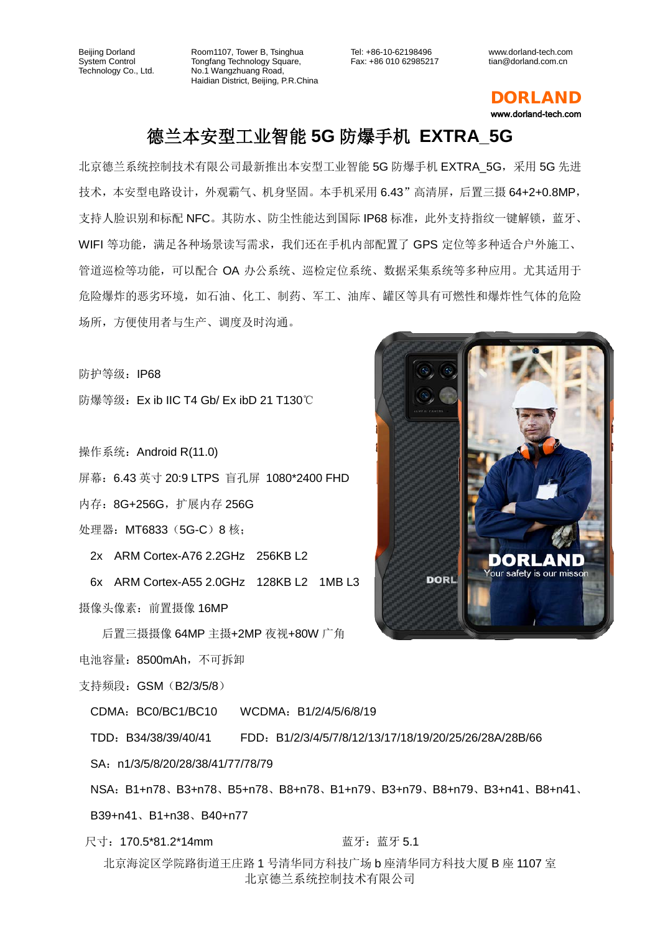Room1107, Tower B, Tsinghua Tongfang Technology Square, No.1 Wangzhuang Road, Haidian District, Beijing, P.R.China Tel: +86-10-62198496 Fax: +86 010 62985217 www.dorland-tech.com tian@dorland.com.cn



## 德兰本安型工业智能 **5G** 防爆手机 **EXTRA\_5G**

北京德兰系统控制技术有限公司最新推出本安型工业智能 5G 防爆手机 EXTRA\_5G,采用 5G 先进 技术,本安型电路设计,外观霸气、机身坚固。本手机采用 6.43"高清屏,后置三摄 64+2+0.8MP, 支持人脸识别和标配 NFC。其防水、防尘性能达到国际 IP68 标准, 此外支持指纹一键解锁, 蓝牙、 WIFI 等功能,满足各种场景读写需求,我们还在手机内部配置了 GPS 定位等多种适合户外施工、 管道巡检等功能,可以配合 OA 办公系统、巡检定位系统、数据采集系统等多种应用。尤其适用于 危险爆炸的恶劣环境,如石油、化工、制药、军工、油库、罐区等具有可燃性和爆炸性气体的危险 场所,方便使用者与生产、调度及时沟通。

防护等级: IP68

防爆等级:Ex ib IIC T4 Gb/ Ex ibD 21 T130℃

操作系统: Android R(11.0)

屏幕:6.43 英寸 20:9 LTPS 盲孔屏 1080\*2400 FHD

内存:8G+256G,扩展内存 256G

处理器:MT6833(5G-C)8 核;

2x ARM Cortex-A76 2.2GHz 256KB L2

6x ARM Cortex-A55 2.0GHz 128KB L2 1MB L3 摄像头像素:前置摄像 16MP

后置三摄摄像 64MP 主摄+2MP 夜视+80W 广角 电池容量:8500mAh,不可拆卸

支持频段: GSM (B2/3/5/8)

CDMA:BC0/BC1/BC10 WCDMA:B1/2/4/5/6/8/19

TDD:B34/38/39/40/41 FDD:B1/2/3/4/5/7/8/12/13/17/18/19/20/25/26/28A/28B/66

SA: n1/3/5/8/20/28/38/41/77/78/79

NSA:B1+n78、B3+n78、B5+n78、B8+n78、B1+n79、B3+n79、B8+n79、B3+n41、B8+n41、

B39+n41、B1+n38、B40+n77

尺寸:170.5\*81.2\*14mm 蓝牙:蓝牙 5.1

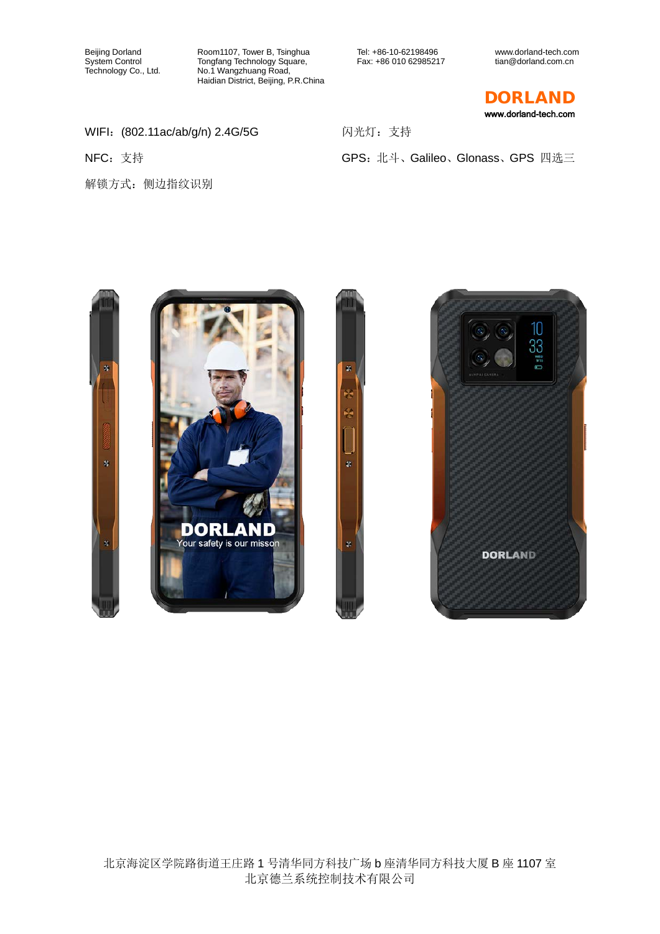Room1107, Tower B, Tsinghua Tongfang Technology Square, No.1 Wangzhuang Road, Haidian District, Beijing, P.R.China

Tel: +86-10-62198496 Fax: +86 010 62985217

GPS:北斗、Galileo、Glonass、GPS 四选三

闪光灯:支持

www.dorland-tech.com tian@dorland.com.cn

DORLAND www.dorland-tech.com

WIFI:(802.11ac/ab/g/n) 2.4G/5G

NFC:支持

解锁方式:侧边指纹识别

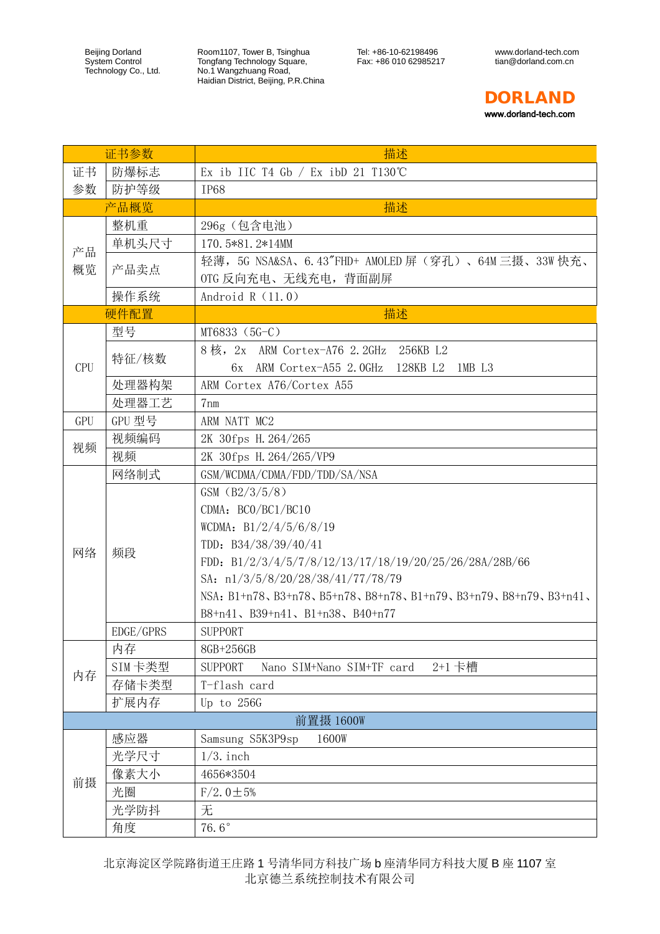Room1107, Tower B, Tsinghua Tongfang Technology Square, No.1 Wangzhuang Road, Haidian District, Beijing, P.R.China Tel: +86-10-62198496 Fax: +86 010 62985217



| 证书参数       |           | 描述                                                                                                                                                                                                                                                                                                   |
|------------|-----------|------------------------------------------------------------------------------------------------------------------------------------------------------------------------------------------------------------------------------------------------------------------------------------------------------|
| 证书         | 防爆标志      | Ex ib IIC T4 Gb $/$ Ex ibD 21 T130°C                                                                                                                                                                                                                                                                 |
| 参数         | 防护等级      | <b>IP68</b>                                                                                                                                                                                                                                                                                          |
|            | 产品概览      | 描述                                                                                                                                                                                                                                                                                                   |
| 产品<br>概览   | 整机重       | 296g (包含电池)                                                                                                                                                                                                                                                                                          |
|            | 单机头尺寸     | 170.5*81.2*14MM                                                                                                                                                                                                                                                                                      |
|            | 产品卖点      | 轻薄,5G NSA&SA、6.43"FHD+ AMOLED 屏(穿孔)、64M 三摄、33W 快充、<br>OTG 反向充电、无线充电, 背面副屏                                                                                                                                                                                                                            |
|            | 操作系统      | Android $R(11.0)$                                                                                                                                                                                                                                                                                    |
|            | 硬件配置      | 描述                                                                                                                                                                                                                                                                                                   |
| <b>CPU</b> | 型号        | MT6833 (5G-C)                                                                                                                                                                                                                                                                                        |
|            | 特征/核数     | 8核, 2x ARM Cortex-A76 2.2GHz 256KB L2<br>ARM Cortex-A55 2.0GHz 128KB L2<br>1MB L3<br>6x                                                                                                                                                                                                              |
|            | 处理器构架     | ARM Cortex A76/Cortex A55                                                                                                                                                                                                                                                                            |
|            | 处理器工艺     | $7 \text{nm}$                                                                                                                                                                                                                                                                                        |
| GPU        | GPU 型号    | ARM NATT MC2                                                                                                                                                                                                                                                                                         |
|            | 视频编码      | 2K 30fps H. 264/265                                                                                                                                                                                                                                                                                  |
| 视频         | 视频        | 2K 30fps H. 264/265/VP9                                                                                                                                                                                                                                                                              |
|            | 网络制式      | GSM/WCDMA/CDMA/FDD/TDD/SA/NSA                                                                                                                                                                                                                                                                        |
| 网络         | 频段        | GSM (B2/3/5/8)<br>CDMA: BCO/BC1/BC10<br>WCDMA: $B1/2/4/5/6/8/19$<br>TDD: $B34/38/39/40/41$<br>FDD: B1/2/3/4/5/7/8/12/13/17/18/19/20/25/26/28A/28B/66<br>SA: $n1/3/5/8/20/28/38/41/77/78/79$<br>NSA: B1+n78, B3+n78, B5+n78, B8+n78, B1+n79, B3+n79, B8+n79, B3+n41,<br>B8+n41、B39+n41、B1+n38、B40+n77 |
|            | EDGE/GPRS | <b>SUPPORT</b>                                                                                                                                                                                                                                                                                       |
|            | 内存        | 8GB+256GB                                                                                                                                                                                                                                                                                            |
|            | SIM卡类型    | <b>SUPPORT</b><br>2+1 卡槽<br>Nano SIM+Nano SIM+TF card                                                                                                                                                                                                                                                |
| 内存         | 存储卡类型     | T-flash card                                                                                                                                                                                                                                                                                         |
|            | 扩展内存      | Up to 256G                                                                                                                                                                                                                                                                                           |
|            |           | 前置摄 1600W                                                                                                                                                                                                                                                                                            |
| 前摄         | 感应器       | Samsung S5K3P9sp<br>1600W                                                                                                                                                                                                                                                                            |
|            | 光学尺寸      | $1/3$ . inch                                                                                                                                                                                                                                                                                         |
|            | 像素大小      | 4656*3504                                                                                                                                                                                                                                                                                            |
|            | 光圈        | $F/2.0 \pm 5%$                                                                                                                                                                                                                                                                                       |
|            | 光学防抖      | 无                                                                                                                                                                                                                                                                                                    |
|            | 角度        | 76.6 $^\circ$                                                                                                                                                                                                                                                                                        |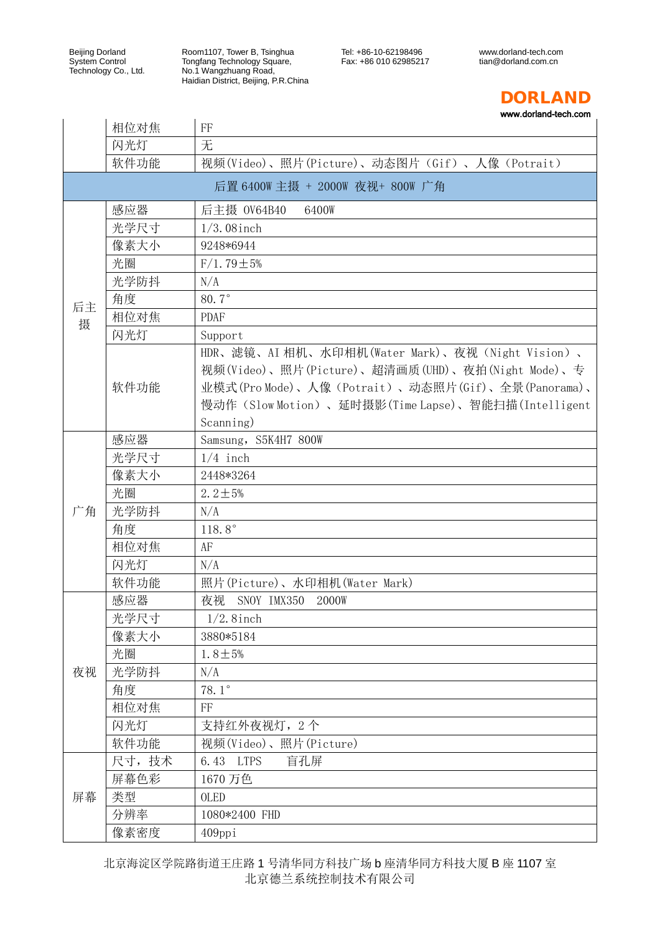Room1107, Tower B, Tsinghua Tongfang Technology Square, No.1 Wangzhuang Road, Haidian District, Beijing, P.R.China Tel: +86-10-62198496 Fax: +86 010 62985217 www.dorland-tech.com tian@dorland.com.cn



www.dorland-tech.com

|    | 相位对焦  | FF                                                 |
|----|-------|----------------------------------------------------|
|    | 闪光灯   | 无                                                  |
|    | 软件功能  | 视频(Video)、照片(Picture)、动态图片(Gif)、人像(Potrait)        |
|    |       | 后置 6400W 主摄 + 2000W 夜视+ 800W 广角                    |
|    | 感应器   | 后主摄 0V64B40<br>6400W                               |
|    | 光学尺寸  | $1/3.08$ inch                                      |
|    | 像素大小  | 9248*6944                                          |
|    | 光圈    | $F/1.79 \pm 5%$                                    |
|    | 光学防抖  | N/A                                                |
| 后主 | 角度    | $80.7^\circ$                                       |
| 摄  | 相位对焦  | <b>PDAF</b>                                        |
|    | 闪光灯   | Support                                            |
|    |       | HDR、滤镜、AI 相机、水印相机(Water Mark)、夜视(Night Vision)、    |
|    |       | 视频(Video)、照片(Picture)、超清画质(UHD)、夜拍(Night Mode)、专   |
|    | 软件功能  | 业模式(Pro Mode)、人像(Potrait)、动态照片(Gif)、全景(Panorama)、  |
|    |       | 慢动作(Slow Motion)、延时摄影(Time Lapse)、智能扫描(Intelligent |
|    |       | Scanning)                                          |
|    | 感应器   | Samsung, S5K4H7 800W                               |
|    | 光学尺寸  | $1/4$ inch                                         |
|    | 像素大小  | 2448*3264                                          |
|    | 光圈    | $2.2 \pm 5%$                                       |
| 广角 | 光学防抖  | N/A                                                |
|    | 角度    | 118.8 $^{\circ}$                                   |
|    | 相位对焦  | AF                                                 |
|    | 闪光灯   | N/A                                                |
|    | 软件功能  | 照片(Picture)、水印相机(Water Mark)                       |
|    | 感应器   | 夜视<br>SNOY IMX350<br>2000W                         |
|    | 光学尺寸  | $1/2$ . 8 inch                                     |
|    | 像素大小  | 3880*5184                                          |
|    | 光圈    | $1.8 \pm 5%$                                       |
| 夜视 | 光学防抖  | N/A                                                |
|    | 角度    | 78.1 $^{\circ}$                                    |
|    | 相位对焦  | FF                                                 |
|    | 闪光灯   | 支持红外夜视灯, 2个                                        |
|    | 软件功能  | 视频(Video)、照片(Picture)                              |
| 屏幕 | 尺寸,技术 | 6.43 LTPS<br>盲孔屏                                   |
|    | 屏幕色彩  | 1670 万色                                            |
|    | 类型    | OLED                                               |
|    | 分辨率   | 1080*2400 FHD                                      |
|    | 像素密度  | 409ppi                                             |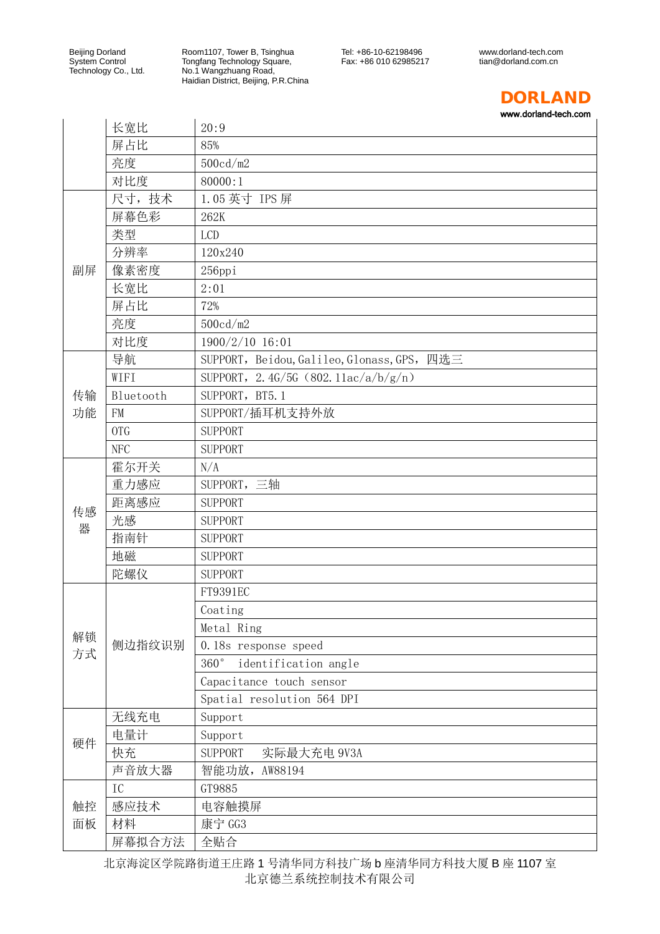Room1107, Tower B, Tsinghua Tongfang Technology Square, No.1 Wangzhuang Road, Haidian District, Beijing, P.R.China www.dorland-tech.com tian@dorland.com.cn



www.dorland-tech.com

 $\overline{1}$ 

|          | 长宽比        | 20:9                                        |
|----------|------------|---------------------------------------------|
|          | 屏占比        | 85%                                         |
|          | 亮度         | 500cd/m2                                    |
|          | 对比度        | 80000:1                                     |
|          | 尺寸,技术      | 1.05 英寸 IPS 屏                               |
|          | 屏幕色彩       | 262K                                        |
|          | 类型         | <b>LCD</b>                                  |
|          | 分辨率        | 120x240                                     |
| 副屏       | 像素密度       | $256$ ppi                                   |
|          | 长宽比        | 2:01                                        |
|          | 屏占比        | 72%                                         |
|          | 亮度         | 500cd/m2                                    |
|          | 对比度        | 1900/2/10 16:01                             |
|          | 导航         | SUPPORT, Beidou, Galileo, Glonass, GPS, 四选三 |
|          | WIFI       | SUPPORT, 2.4G/5G (802.11ac/a/b/g/n)         |
| 传输<br>功能 | Bluetooth  | SUPPORT, BT5.1                              |
|          | <b>FM</b>  | SUPPORT/插耳机支持外放                             |
|          | <b>OTG</b> | <b>SUPPORT</b>                              |
|          | <b>NFC</b> | <b>SUPPORT</b>                              |
|          | 霍尔开关       | N/A                                         |
|          | 重力感应       | SUPPORT, 三轴                                 |
| 传感       | 距离感应       | <b>SUPPORT</b>                              |
| 器        | 光感         | <b>SUPPORT</b>                              |
|          | 指南针        | <b>SUPPORT</b>                              |
|          | 地磁         | <b>SUPPORT</b>                              |
|          | 陀螺仪        | <b>SUPPORT</b>                              |
|          |            | FT9391EC                                    |
|          |            | Coating                                     |
| 解锁       |            | Metal Ring                                  |
| 方式       | 侧边指纹识别     | 0.18s response speed                        |
|          |            | 360°<br>identification angle                |
|          |            | Capacitance touch sensor                    |
|          |            | Spatial resolution 564 DPI                  |
|          | 无线充电       | Support                                     |
| 硬件       | 电量计        | Support                                     |
|          | 快充         | <b>SUPPORT</b><br>实际最大充电 9V3A               |
|          | 声音放大器      | 智能功放,<br>AW88194                            |
|          | IC         | GT9885                                      |
| 触控       | 感应技术       | 电容触摸屏                                       |
| 面板       | 材料         | 康宁 GG3                                      |
|          | 屏幕拟合方法     | 全贴合                                         |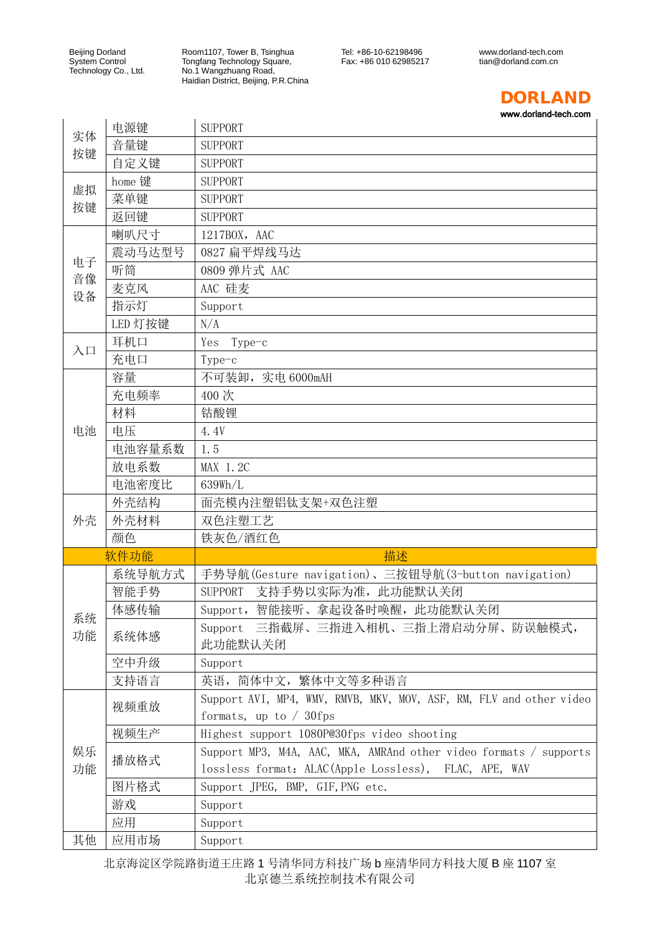Room1107, Tower B, Tsinghua Tongfang Technology Square, No.1 Wangzhuang Road, Haidian District, Beijing, P.R.China www.dorland-tech.com tian@dorland.com.cn



www.dorland-tech.com

 $\overline{1}$ 

| 实体<br>按键       | 电源键     | <b>SUPPORT</b>                                                      |
|----------------|---------|---------------------------------------------------------------------|
|                | 音量键     | <b>SUPPORT</b>                                                      |
|                | 自定义键    | <b>SUPPORT</b>                                                      |
| 虚拟<br>按键       | home 键  | <b>SUPPORT</b>                                                      |
|                | 菜单键     | <b>SUPPORT</b>                                                      |
|                | 返回键     | <b>SUPPORT</b>                                                      |
|                | 喇叭尺寸    | 1217BOX, AAC                                                        |
|                | 震动马达型号  | 0827 扁平焊线马达                                                         |
| 电子             | 听筒      | 0809 弹片式 AAC                                                        |
| 音像<br>设备       | 麦克风     | AAC 硅麦                                                              |
|                | 指示灯     | Support                                                             |
|                | LED 灯按键 | N/A                                                                 |
|                | 耳机口     | Type-c<br>Yes                                                       |
| $\lambda \Box$ | 充电口     | Type-c                                                              |
|                | 容量      | 不可装卸, 实电 6000mAH                                                    |
|                | 充电频率    | 400次                                                                |
|                | 材料      | 钴酸锂                                                                 |
| 电池             | 电压      | 4.4V                                                                |
|                | 电池容量系数  | 1.5                                                                 |
|                | 放电系数    | MAX 1.2C                                                            |
|                | 电池密度比   | 639Wh/L                                                             |
|                | 外壳结构    | 面壳模内注塑铝钛支架+双色注塑                                                     |
| 外壳             | 外壳材料    | 双色注塑工艺                                                              |
|                | 颜色      | 铁灰色/酒红色                                                             |
|                | 软件功能    | 描述                                                                  |
|                | 系统导航方式  | 手势导航(Gesture navigation)、三按钮导航(3-button navigation)                 |
|                | 智能手势    | 支持手势以实际为准, 此功能默认关闭<br><b>SUPPORT</b>                                |
|                | 体感传输    | Support, 智能接听、拿起设备时唤醒, 此功能默认关闭                                      |
| 系统             |         | Support 三指截屏、三指进入相机、三指上滑启动分屏、防误触模式,                                 |
| 功能             | 系统体感    | 此功能默认关闭                                                             |
|                | 空中升级    | Support                                                             |
|                | 支持语言    | 英语, 简体中文, 繁体中文等多种语言                                                 |
|                |         | Support AVI, MP4, WMV, RMVB, MKV, MOV, ASF, RM, FLV and other video |
|                | 视频重放    | formats, up to $/$ 30fps                                            |
|                | 视频生产    | Highest support 1080P@30fps video shooting                          |
| 娱乐             |         | Support MP3, M4A, AAC, MKA, AMRAnd other video formats / supports   |
| 功能             | 播放格式    | lossless format: ALAC(Apple Lossless), FLAC, APE, WAV               |
|                | 图片格式    | Support JPEG, BMP, GIF, PNG etc.                                    |
|                | 游戏      |                                                                     |
|                |         | Support                                                             |
|                | 应用      | Support                                                             |
| 其他             | 应用市场    | Support                                                             |